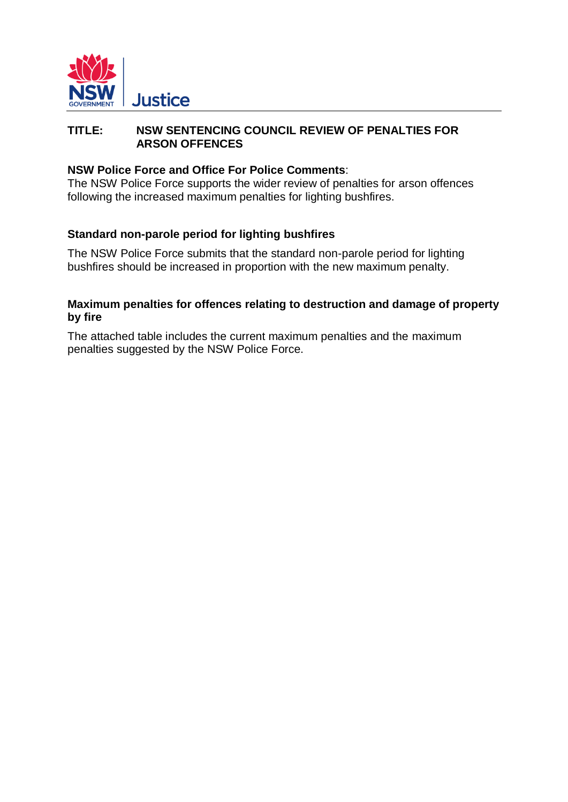

## **TITLE: NSW SENTENCING COUNCIL REVIEW OF PENALTIES FOR ARSON OFFENCES**

## **NSW Police Force and Office For Police Comments**:

The NSW Police Force supports the wider review of penalties for arson offences following the increased maximum penalties for lighting bushfires.

# **Standard non-parole period for lighting bushfires**

The NSW Police Force submits that the standard non-parole period for lighting bushfires should be increased in proportion with the new maximum penalty.

#### **Maximum penalties for offences relating to destruction and damage of property by fire**

The attached table includes the current maximum penalties and the maximum penalties suggested by the NSW Police Force.